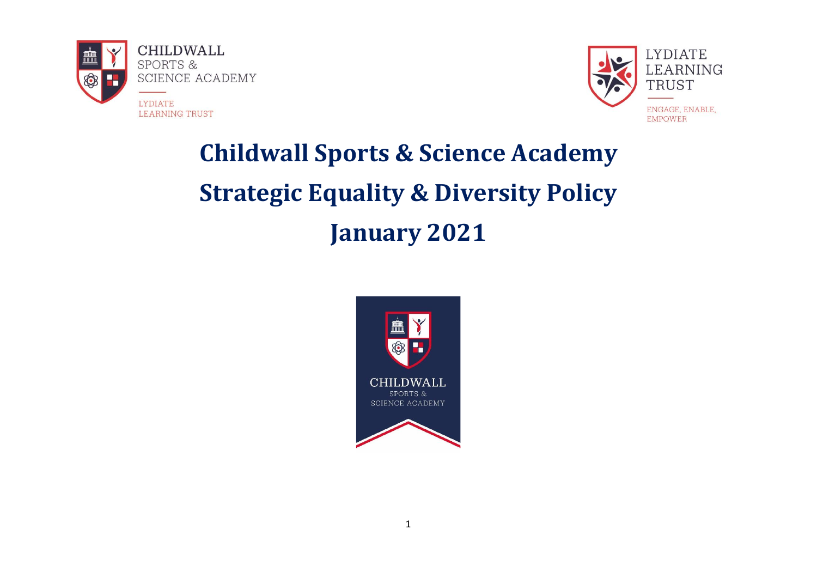



# **Childwall Sports & Science Academy Strategic Equality & Diversity Policy January 2021**

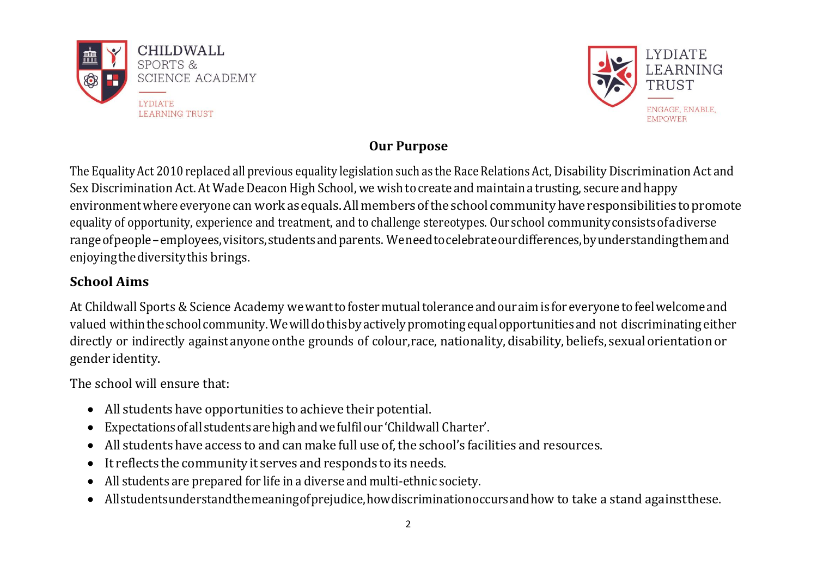



# **Our Purpose**

The Equality Act 2010 replaced all previous equality legislation such as the Race Relations Act, Disability Discrimination Act and Sex Discrimination Act. At Wade Deacon High School, we wish to create and maintain a trusting, secure and happy environmentwhere everyone can workasequals.Allmembersoftheschool communityhave responsibilities topromote equality of opportunity, experience and treatment, and to challenge stereotypes. Our school communityconsistsofadiverse rangeofpeople–employees,visitors,studentsandparents. Weneedtocelebrateourdifferences,byunderstandingthemand enjoyingthediversitythis brings.

# **School Aims**

At Childwall Sports & Science Academy we want to foster mutual tolerance and our aim is for everyone to feel welcome and valued withintheschool community.Wewilldothisbyactivelypromotingequalopportunitiesand not discriminating either directly or indirectly against anyone onthe grounds of colour, race, nationality, disability, beliefs, sexual orientation or gender identity.

The school will ensure that:

- All students have opportunities to achieve their potential.
- Expectationsofall studentsarehighandwefulfilour'Childwall Charter'.
- All students have access to and can make full use of, the school's facilities and resources.
- It reflects the community it serves and responds to its needs.
- All students are prepared for life in a diverse and multi-ethnic society.
- Allstudentsunderstandthemeaningofprejudice,howdiscriminationoccursandhow to take a stand againstthese.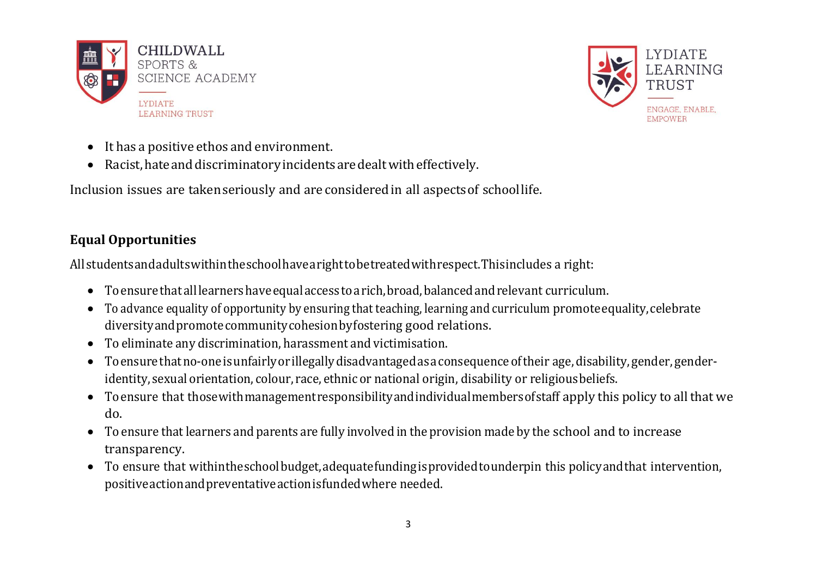



- It has a positive ethos and environment.
- Racist,hateanddiscriminatoryincidentsaredealtwitheffectively.

Inclusion issues are takenseriously and are consideredin all aspectsof schoollife.

# **Equal Opportunities**

All studentsandadultswithintheschoolhavearighttobetreatedwithrespect.Thisincludes a right:

- Toensurethat alllearnershaveequalaccess toarich,broad,balancedandrelevant curriculum.
- To advance equality of opportunity by ensuring that teaching, learning and curriculum promoteequality,celebrate diversityandpromotecommunitycohesionbyfostering good relations.
- To eliminate any discrimination, harassment and victimisation.
- Toensurethatno-oneisunfairlyorillegallydisadvantagedasaconsequenceoftheir age, disability, gender, genderidentity, sexual orientation, colour, race, ethnic or national origin, disability or religiousbeliefs.
- Toensure that thosewithmanagementresponsibilityandindividualmembersofstaff apply this policy to all that we do.
- To ensure that learners and parents are fully involved in the provision made by the school and to increase transparency.
- To ensure that withintheschoolbudget,adequatefundingisprovidedtounderpin this policyandthat intervention, positiveactionandpreventativeactionisfundedwhere needed.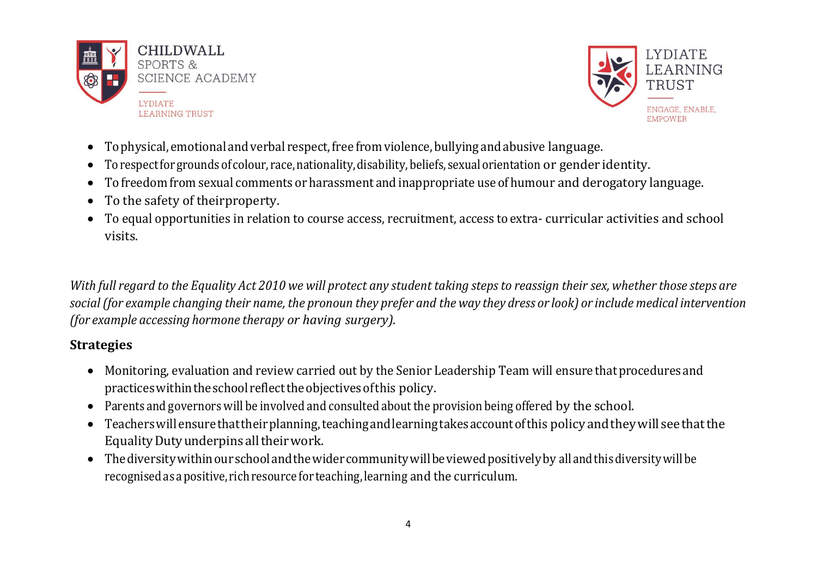



- Tophysical, emotional andverbal respect,free from violence, bullying andabusive language.
- To respect for grounds of colour, race, nationality, disability, beliefs, sexual orientation or gender identity.
- To freedom from sexual comments or harassment and inappropriate use of humour and derogatory language.
- To the safety of theirproperty.
- To equal opportunities in relation to course access, recruitment, access toextra- curricular activities and school visits.

With full regard to the Equality Act 2010 we will protect any student taking steps to reassign their sex, whether those steps are social (for example changing their name, the pronoun they prefer and the way they dress or look) or include medical intervention *(for example accessing hormone therapy or having surgery).*

## **Strategies**

- Monitoring, evaluation and review carried out by the Senior Leadership Team will ensure that procedures and practiceswithintheschool reflecttheobjectivesofthis policy.
- Parents and governors will be involved and consulted about the provision being offered by the school.
- Teacherswillensurethattheirplanning,teachingandlearningtakesaccountofthis policyandtheywill seethatthe EqualityDutyunderpinsalltheirwork.
- Thediversitywithinourschoolandthewidercommunitywillbeviewedpositivelyby all andthisdiversitywillbe recognisedasapositive, richresource for teaching, learning and the curriculum.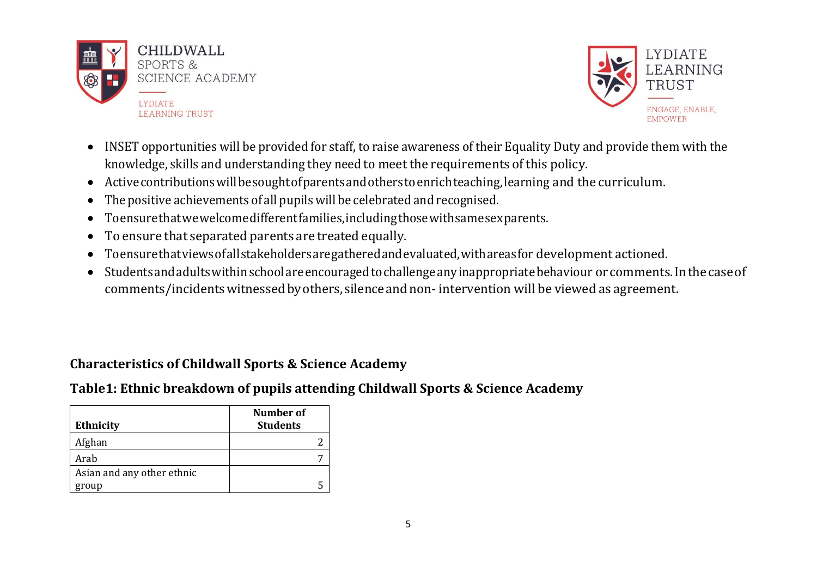



- INSET opportunities will be provided for staff, to raise awareness of their Equality Duty and provide them with the knowledge, skills and understanding they need to meet the requirements of this policy.
- Activecontributionswillbesoughtofparentsandotherstoenrichteaching,learning and the curriculum.
- The positive achievements of all pupilswill be celebrated and recognised.
- Toensurethatwewelcomedifferentfamilies,includingthosewithsamesexparents.
- To ensure that separated parents are treated equally.
- Toensurethatviewsofallstakeholdersaregatheredandevaluated,withareasfor development actioned.
- Studentsandadultswithinschoolareencouragedtochallengeanyinappropriatebehaviour orcomments.Inthecaseof comments/incidentswitnessedbyothers, silenceandnon- intervention will be viewed as agreement.

# **Characteristics of Childwall Sports & Science Academy**

# **Table1: Ethnic breakdown of pupils attending Childwall Sports & Science Academy**

| <b>Ethnicity</b>           | Number of<br><b>Students</b> |
|----------------------------|------------------------------|
| Afghan                     |                              |
| Arab                       |                              |
| Asian and any other ethnic |                              |
| group                      |                              |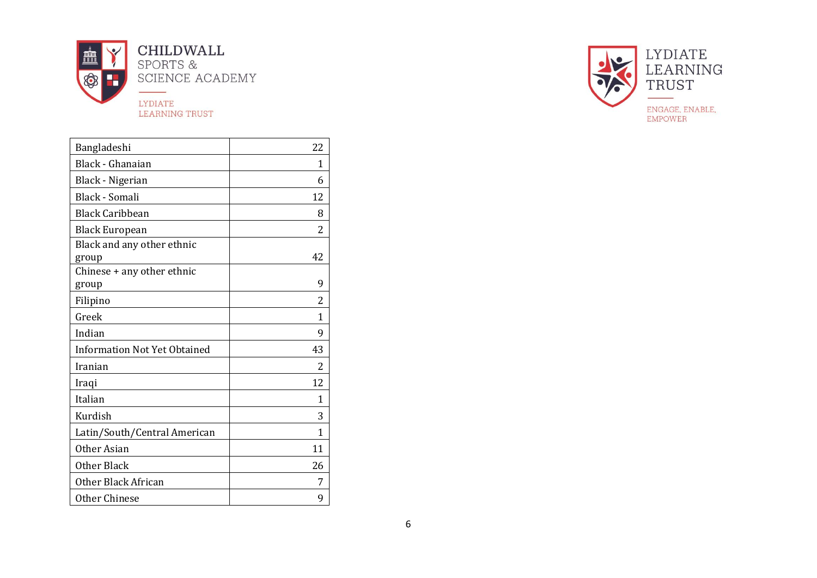

| Bangladeshi                         | 22           |
|-------------------------------------|--------------|
| Black - Ghanaian                    | 1            |
| <b>Black - Nigerian</b>             | 6            |
| Black - Somali                      | 12           |
| <b>Black Caribbean</b>              | 8            |
| <b>Black European</b>               | 2            |
| Black and any other ethnic<br>group | 42           |
| Chinese + any other ethnic<br>group | 9            |
| Filipino                            | 2            |
| Greek                               | 1            |
| Indian                              | 9            |
| <b>Information Not Yet Obtained</b> | 43           |
| Iranian                             | 2            |
| Iraqi                               | 12           |
| Italian                             | 1            |
| Kurdish                             | 3            |
| Latin/South/Central American        | $\mathbf{1}$ |
| Other Asian                         | 11           |
| <b>Other Black</b>                  | 26           |
| Other Black African                 | 7            |
| Other Chinese                       | 9            |

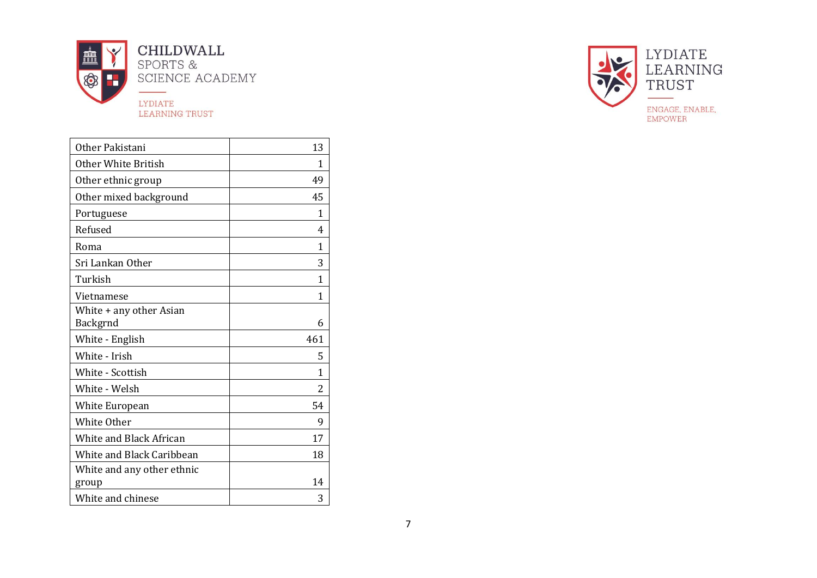

| Other Pakistani                     | 13           |
|-------------------------------------|--------------|
| Other White British                 | 1            |
| Other ethnic group                  | 49           |
| Other mixed background              | 45           |
| Portuguese                          | 1            |
| Refused                             | 4            |
| Roma                                | 1            |
| Sri Lankan Other                    | 3            |
| Turkish                             | 1            |
| Vietnamese                          | $\mathbf{1}$ |
| White + any other Asian<br>Backgrnd | 6            |
| White - English                     | 461          |
| White - Irish                       | 5            |
| White - Scottish                    | 1            |
| White - Welsh                       | 2            |
| <b>White European</b>               | 54           |
| White Other                         | 9            |
| White and Black African             | 17           |
| White and Black Caribbean           | 18           |
| White and any other ethnic<br>group | 14           |
| White and chinese                   | 3            |

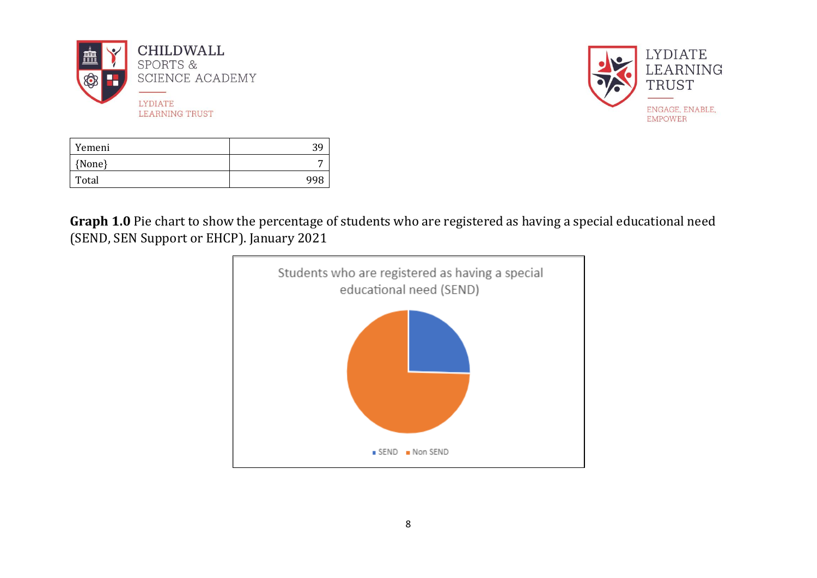



| Yemeni | 39  |
|--------|-----|
| {None} |     |
| Total  | 998 |

**Graph 1.0** Pie chart to show the percentage of students who are registered as having a special educational need (SEND, SEN Support or EHCP). January 2021

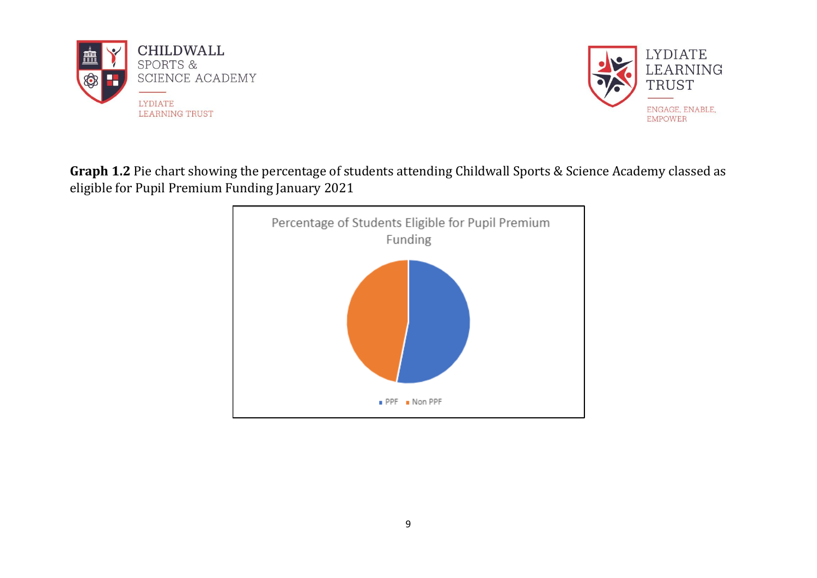



# **Graph 1.2** Pie chart showing the percentage of students attending Childwall Sports & Science Academy classed as eligible for Pupil Premium Funding January 2021

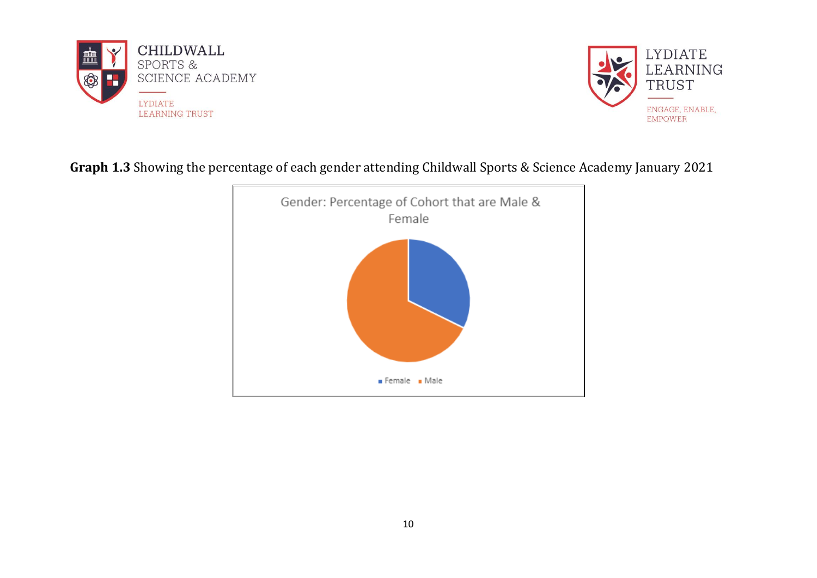



# **Graph 1.3** Showing the percentage of each gender attending Childwall Sports & Science Academy January 2021

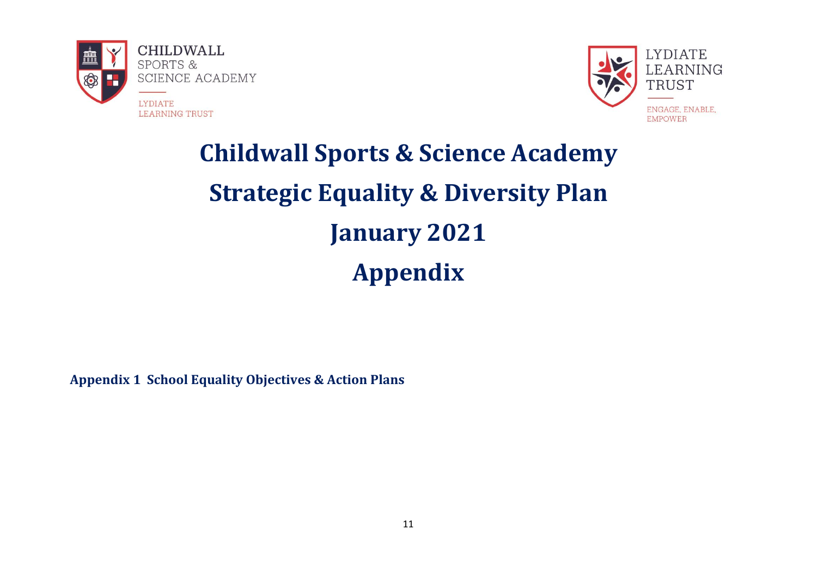



# **Childwall Sports & Science Academy Strategic Equality & Diversity Plan January 2021 Appendix**

**Appendix 1 School Equality Objectives & Action Plans**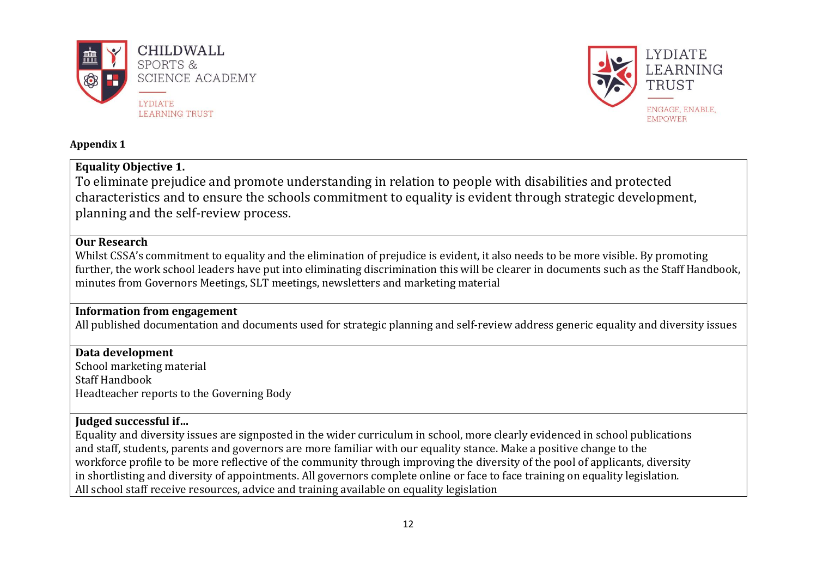



#### **Appendix 1**

## **Equality Objective 1.**

To eliminate prejudice and promote understanding in relation to people with disabilities and protected characteristics and to ensure the schools commitment to equality is evident through strategic development, planning and the self-review process.

### **Our Research**

Whilst CSSA's commitment to equality and the elimination of prejudice is evident, it also needs to be more visible. By promoting further, the work school leaders have put into eliminating discrimination this will be clearer in documents such as the Staff Handbook, minutes from Governors Meetings, SLT meetings, newsletters and marketing material

## **Information from engagement**

All published documentation and documents used for strategic planning and self-review address generic equality and diversity issues

## **Data development**

School marketing material Staff Handbook Headteacher reports to the Governing Body

## **Judged successful if…**

Equality and diversity issues are signposted in the wider curriculum in school, more clearly evidenced in school publications and staff, students, parents and governors are more familiar with our equality stance. Make a positive change to the workforce profile to be more reflective of the community through improving the diversity of the pool of applicants, diversity in shortlisting and diversity of appointments. All governors complete online or face to face training on equality legislation. All school staff receive resources, advice and training available on equality legislation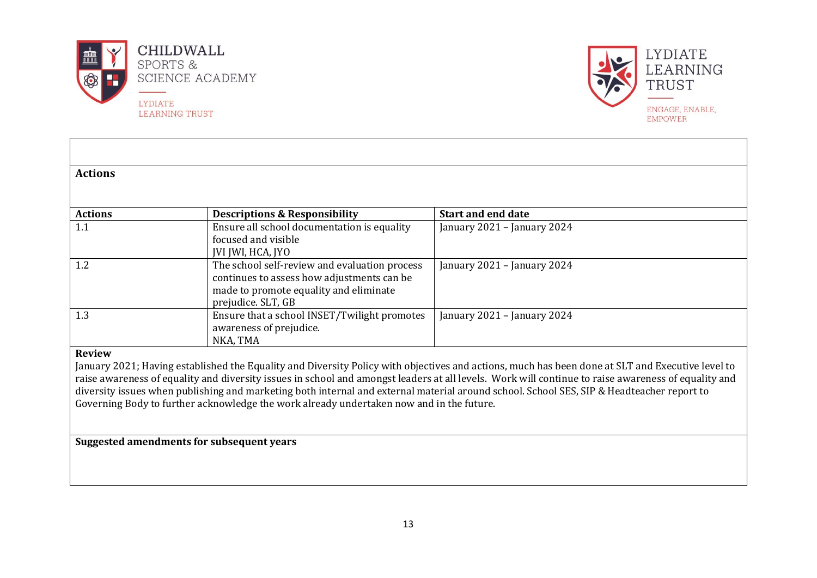



| <b>Actions</b> |                                                                                          |                                                                                                                                                     |
|----------------|------------------------------------------------------------------------------------------|-----------------------------------------------------------------------------------------------------------------------------------------------------|
|                |                                                                                          |                                                                                                                                                     |
| <b>Actions</b> | <b>Descriptions &amp; Responsibility</b>                                                 | <b>Start and end date</b>                                                                                                                           |
| 1.1            | Ensure all school documentation is equality                                              | January 2021 - January 2024                                                                                                                         |
|                | focused and visible<br>JVI JWI, HCA, JYO                                                 |                                                                                                                                                     |
| 1.2            | The school self-review and evaluation process                                            | January 2021 - January 2024                                                                                                                         |
|                | continues to assess how adjustments can be                                               |                                                                                                                                                     |
|                | made to promote equality and eliminate<br>prejudice. SLT, GB                             |                                                                                                                                                     |
| 1.3            | Ensure that a school INSET/Twilight promotes                                             | January 2021 - January 2024                                                                                                                         |
|                | awareness of prejudice.                                                                  |                                                                                                                                                     |
|                | NKA, TMA                                                                                 |                                                                                                                                                     |
| <b>Review</b>  |                                                                                          |                                                                                                                                                     |
|                |                                                                                          | January 2021; Having established the Equality and Diversity Policy with objectives and actions, much has been done at SLT and Executive level to    |
|                |                                                                                          | raise awareness of equality and diversity issues in school and amongst leaders at all levels. Work will continue to raise awareness of equality and |
|                |                                                                                          | diversity issues when publishing and marketing both internal and external material around school. School SES, SIP & Headteacher report to           |
|                | Governing Body to further acknowledge the work already undertaken now and in the future. |                                                                                                                                                     |
|                |                                                                                          |                                                                                                                                                     |
|                |                                                                                          |                                                                                                                                                     |

**Suggested amendments for subsequent years**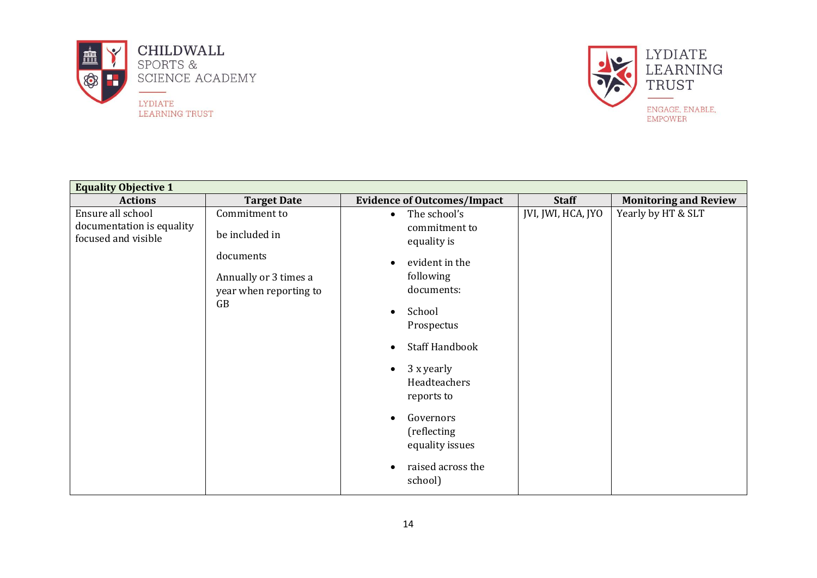



| <b>Staff</b><br><b>Monitoring and Review</b><br><b>Target Date</b><br><b>Evidence of Outcomes/Impact</b><br><b>Actions</b><br>Ensure all school<br>JVI, JWI, HCA, JYO<br>Yearly by HT & SLT<br>Commitment to<br>The school's<br>$\bullet$<br>documentation is equality<br>commitment to<br>be included in<br>focused and visible<br>equality is<br>documents<br>evident in the<br>$\bullet$<br>following<br>Annually or 3 times a<br>documents:<br>year when reporting to<br>GB<br>School<br>$\bullet$<br>Prospectus<br><b>Staff Handbook</b><br>$\bullet$<br>3 x yearly<br>$\bullet$<br>Headteachers<br>reports to<br>Governors<br>$\bullet$<br>(reflecting<br>equality issues<br>raised across the<br>$\bullet$ | <b>Equality Objective 1</b> |         |  |
|-------------------------------------------------------------------------------------------------------------------------------------------------------------------------------------------------------------------------------------------------------------------------------------------------------------------------------------------------------------------------------------------------------------------------------------------------------------------------------------------------------------------------------------------------------------------------------------------------------------------------------------------------------------------------------------------------------------------|-----------------------------|---------|--|
|                                                                                                                                                                                                                                                                                                                                                                                                                                                                                                                                                                                                                                                                                                                   |                             |         |  |
|                                                                                                                                                                                                                                                                                                                                                                                                                                                                                                                                                                                                                                                                                                                   |                             | school) |  |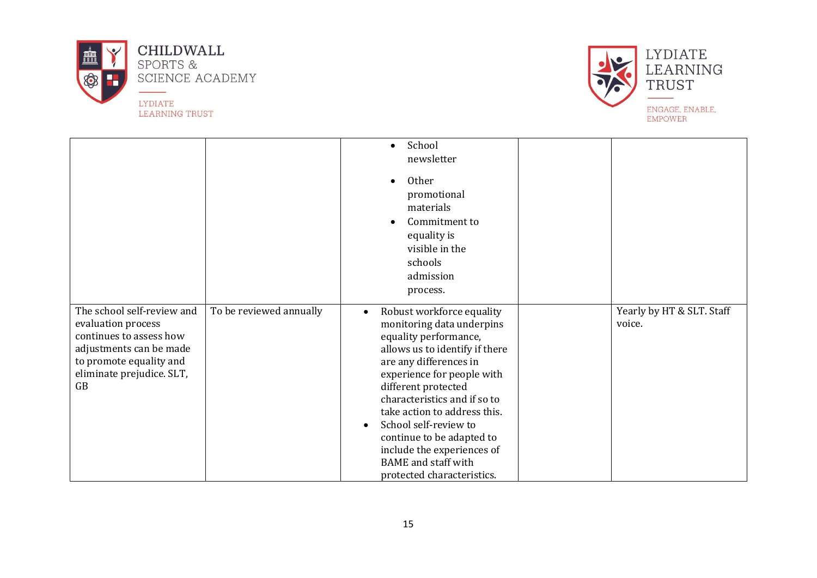



|                                                                                                                                                                      |                         | School<br>$\bullet$                                                                                                                                                                                                                                                                                                                                                                                                                        |                                     |
|----------------------------------------------------------------------------------------------------------------------------------------------------------------------|-------------------------|--------------------------------------------------------------------------------------------------------------------------------------------------------------------------------------------------------------------------------------------------------------------------------------------------------------------------------------------------------------------------------------------------------------------------------------------|-------------------------------------|
|                                                                                                                                                                      |                         | newsletter                                                                                                                                                                                                                                                                                                                                                                                                                                 |                                     |
|                                                                                                                                                                      |                         | Other<br>$\bullet$<br>promotional<br>materials<br>Commitment to<br>$\bullet$<br>equality is<br>visible in the<br>schools<br>admission<br>process.                                                                                                                                                                                                                                                                                          |                                     |
| The school self-review and<br>evaluation process<br>continues to assess how<br>adjustments can be made<br>to promote equality and<br>eliminate prejudice. SLT,<br>GB | To be reviewed annually | Robust workforce equality<br>$\bullet$<br>monitoring data underpins<br>equality performance,<br>allows us to identify if there<br>are any differences in<br>experience for people with<br>different protected<br>characteristics and if so to<br>take action to address this.<br>School self-review to<br>$\bullet$<br>continue to be adapted to<br>include the experiences of<br><b>BAME</b> and staff with<br>protected characteristics. | Yearly by HT & SLT. Staff<br>voice. |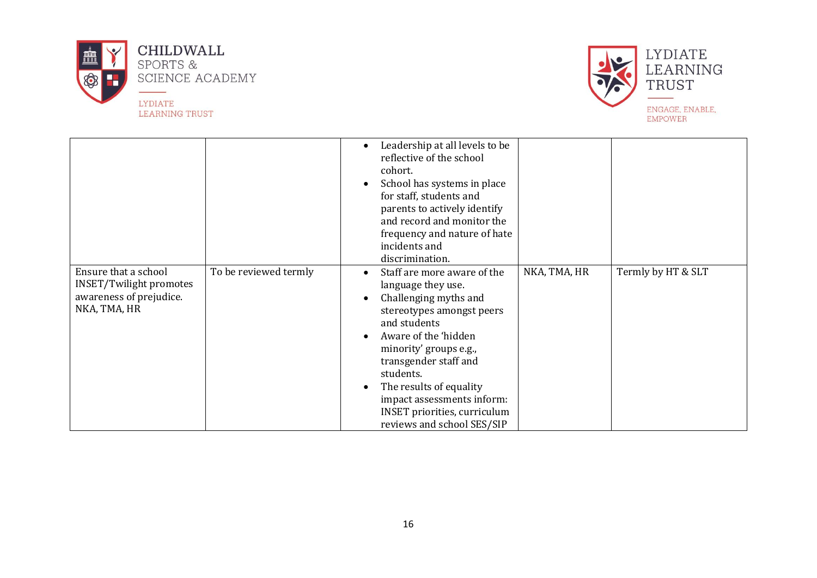



|                                                                                                   |                       | Leadership at all levels to be<br>$\bullet$<br>reflective of the school<br>cohort.<br>School has systems in place<br>$\bullet$<br>for staff, students and<br>parents to actively identify<br>and record and monitor the<br>frequency and nature of hate<br>incidents and<br>discrimination.                                                                                                                                |
|---------------------------------------------------------------------------------------------------|-----------------------|----------------------------------------------------------------------------------------------------------------------------------------------------------------------------------------------------------------------------------------------------------------------------------------------------------------------------------------------------------------------------------------------------------------------------|
| Ensure that a school<br><b>INSET/Twilight promotes</b><br>awareness of prejudice.<br>NKA, TMA, HR | To be reviewed termly | NKA, TMA, HR<br>Termly by HT & SLT<br>Staff are more aware of the<br>$\bullet$<br>language they use.<br>Challenging myths and<br>$\bullet$<br>stereotypes amongst peers<br>and students<br>Aware of the 'hidden<br>$\bullet$<br>minority' groups e.g.,<br>transgender staff and<br>students.<br>The results of equality<br>impact assessments inform:<br><b>INSET priorities, curriculum</b><br>reviews and school SES/SIP |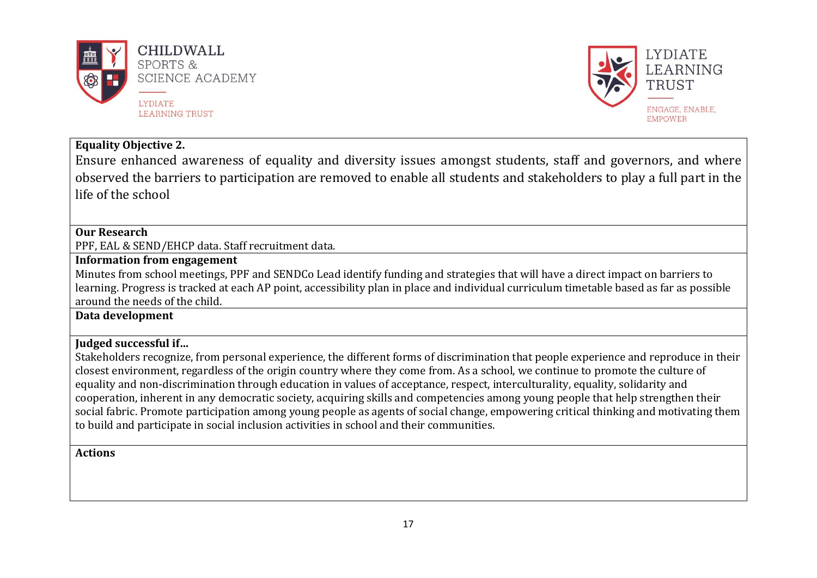



## **Equality Objective 2.**

Ensure enhanced awareness of equality and diversity issues amongst students, staff and governors, and where observed the barriers to participation are removed to enable all students and stakeholders to play a full part in the life of the school

#### **Our Research**

PPF, EAL & SEND/EHCP data. Staff recruitment data.

#### **Information from engagement**

Minutes from school meetings, PPF and SENDCo Lead identify funding and strategies that will have a direct impact on barriers to learning. Progress is tracked at each AP point, accessibility plan in place and individual curriculum timetable based as far as possible around the needs of the child.

**Data development**

#### **Judged successful if…**

Stakeholders recognize, from personal experience, the different forms of discrimination that people experience and reproduce in their closest environment, regardless of the origin country where they come from. As a school, we continue to promote the culture of equality and non-discrimination through education in values of acceptance, respect, interculturality, equality, solidarity and cooperation, inherent in any democratic society, acquiring skills and competencies among young people that help strengthen their social fabric. Promote participation among young people as agents of social change, empowering critical thinking and motivating them to build and participate in social inclusion activities in school and their communities.

#### **Actions**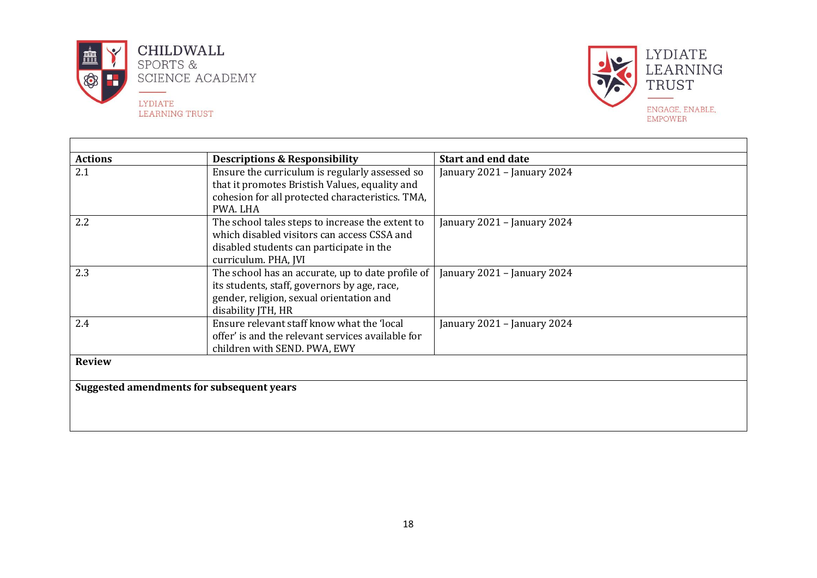

ா



| <b>Actions</b> | <b>Descriptions &amp; Responsibility</b>                                                                                                                            | <b>Start and end date</b>   |
|----------------|---------------------------------------------------------------------------------------------------------------------------------------------------------------------|-----------------------------|
| 2.1            | Ensure the curriculum is regularly assessed so<br>that it promotes Bristish Values, equality and<br>cohesion for all protected characteristics. TMA,<br>PWA. LHA    | January 2021 - January 2024 |
| 2.2            | The school tales steps to increase the extent to<br>which disabled visitors can access CSSA and<br>disabled students can participate in the<br>curriculum. PHA, JVI | January 2021 - January 2024 |
| 2.3            | The school has an accurate, up to date profile of<br>its students, staff, governors by age, race,<br>gender, religion, sexual orientation and<br>disability JTH, HR | January 2021 - January 2024 |
| 2.4            | Ensure relevant staff know what the 'local<br>offer' is and the relevant services available for<br>children with SEND. PWA, EWY                                     | January 2021 - January 2024 |
| <b>Review</b>  |                                                                                                                                                                     |                             |
|                | Suggested amendments for subsequent years                                                                                                                           |                             |
|                |                                                                                                                                                                     |                             |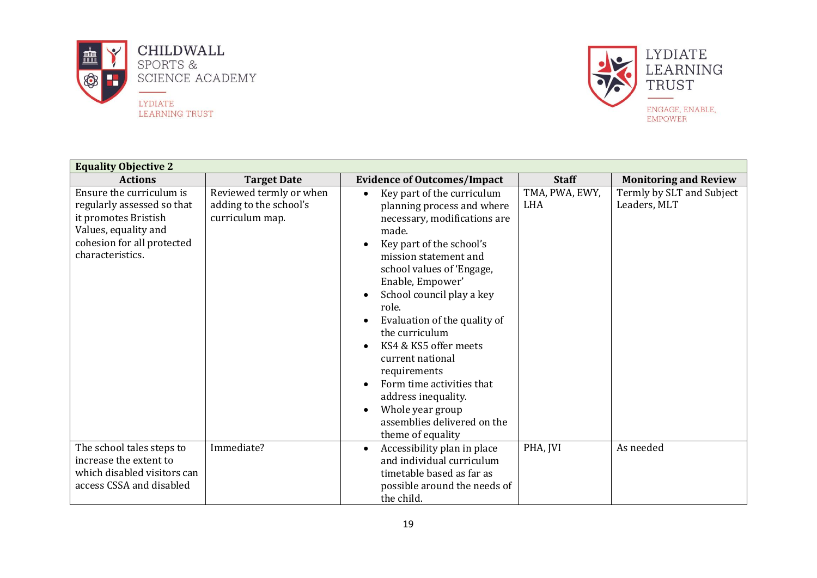



| <b>Equality Objective 2</b>                                                                                                                              |                                                                      |                                                                                                                                                                                                                                                                                                                                                                                                                                                                                                                                                                                     |                              |                                           |
|----------------------------------------------------------------------------------------------------------------------------------------------------------|----------------------------------------------------------------------|-------------------------------------------------------------------------------------------------------------------------------------------------------------------------------------------------------------------------------------------------------------------------------------------------------------------------------------------------------------------------------------------------------------------------------------------------------------------------------------------------------------------------------------------------------------------------------------|------------------------------|-------------------------------------------|
| <b>Actions</b>                                                                                                                                           | <b>Target Date</b>                                                   | <b>Evidence of Outcomes/Impact</b>                                                                                                                                                                                                                                                                                                                                                                                                                                                                                                                                                  | <b>Staff</b>                 | <b>Monitoring and Review</b>              |
| Ensure the curriculum is<br>regularly assessed so that<br>it promotes Bristish<br>Values, equality and<br>cohesion for all protected<br>characteristics. | Reviewed termly or when<br>adding to the school's<br>curriculum map. | Key part of the curriculum<br>$\bullet$<br>planning process and where<br>necessary, modifications are<br>made.<br>Key part of the school's<br>$\bullet$<br>mission statement and<br>school values of 'Engage,<br>Enable, Empower'<br>School council play a key<br>$\bullet$<br>role.<br>Evaluation of the quality of<br>$\bullet$<br>the curriculum<br>KS4 & KS5 offer meets<br>$\bullet$<br>current national<br>requirements<br>Form time activities that<br>$\bullet$<br>address inequality.<br>Whole year group<br>$\bullet$<br>assemblies delivered on the<br>theme of equality | TMA, PWA, EWY,<br><b>LHA</b> | Termly by SLT and Subject<br>Leaders, MLT |
| The school tales steps to<br>increase the extent to<br>which disabled visitors can<br>access CSSA and disabled                                           | Immediate?                                                           | Accessibility plan in place<br>$\bullet$<br>and individual curriculum<br>timetable based as far as<br>possible around the needs of<br>the child.                                                                                                                                                                                                                                                                                                                                                                                                                                    | PHA, JVI                     | As needed                                 |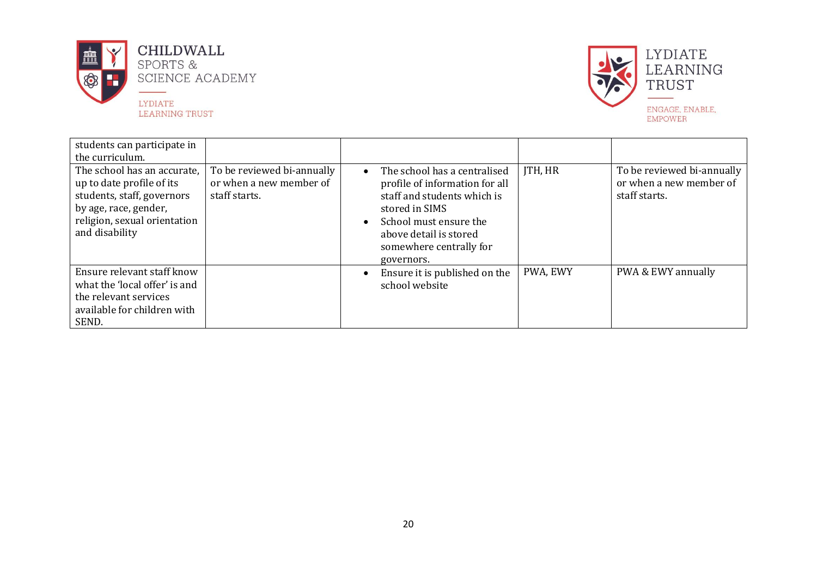



| students can participate in<br>the curriculum.                                                                                                                    |                                                                        |                                                                                                                                                                                                              |                |                                                                        |
|-------------------------------------------------------------------------------------------------------------------------------------------------------------------|------------------------------------------------------------------------|--------------------------------------------------------------------------------------------------------------------------------------------------------------------------------------------------------------|----------------|------------------------------------------------------------------------|
| The school has an accurate,<br>up to date profile of its<br>students, staff, governors<br>by age, race, gender,<br>religion, sexual orientation<br>and disability | To be reviewed bi-annually<br>or when a new member of<br>staff starts. | The school has a centralised<br>profile of information for all<br>staff and students which is<br>stored in SIMS<br>School must ensure the<br>above detail is stored<br>somewhere centrally for<br>governors. | <b>JTH, HR</b> | To be reviewed bi-annually<br>or when a new member of<br>staff starts. |
| Ensure relevant staff know<br>what the 'local offer' is and<br>the relevant services<br>available for children with<br>SEND.                                      |                                                                        | Ensure it is published on the<br>school website                                                                                                                                                              | PWA, EWY       | PWA & EWY annually                                                     |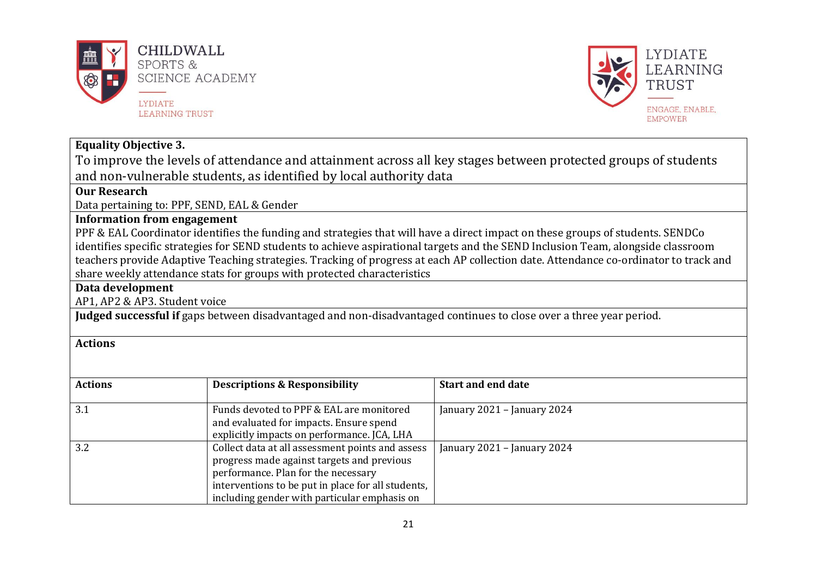



#### **Equality Objective 3.**

To improve the levels of attendance and attainment across all key stages between protected groups of students and non-vulnerable students, as identified by local authority data

#### **Our Research**

Data pertaining to: PPF, SEND, EAL & Gender

### **Information from engagement**

PPF & EAL Coordinator identifies the funding and strategies that will have a direct impact on these groups of students. SENDCo identifies specific strategies for SEND students to achieve aspirational targets and the SEND Inclusion Team, alongside classroom teachers provide Adaptive Teaching strategies. Tracking of progress at each AP collection date. Attendance co-ordinator to track and share weekly attendance stats for groups with protected characteristics

#### **Data development**

AP1, AP2 & AP3. Student voice

**Judged successful if** gaps between disadvantaged and non-disadvantaged continues to close over a three year period.

#### **Actions**

| <b>Actions</b> | <b>Descriptions &amp; Responsibility</b>                                                                                                                                                                                                    | <b>Start and end date</b>   |
|----------------|---------------------------------------------------------------------------------------------------------------------------------------------------------------------------------------------------------------------------------------------|-----------------------------|
| 3.1            | Funds devoted to PPF & EAL are monitored<br>and evaluated for impacts. Ensure spend<br>explicitly impacts on performance. JCA, LHA                                                                                                          | January 2021 - January 2024 |
| 3.2            | Collect data at all assessment points and assess<br>progress made against targets and previous<br>performance. Plan for the necessary<br>interventions to be put in place for all students,<br>including gender with particular emphasis on | January 2021 - January 2024 |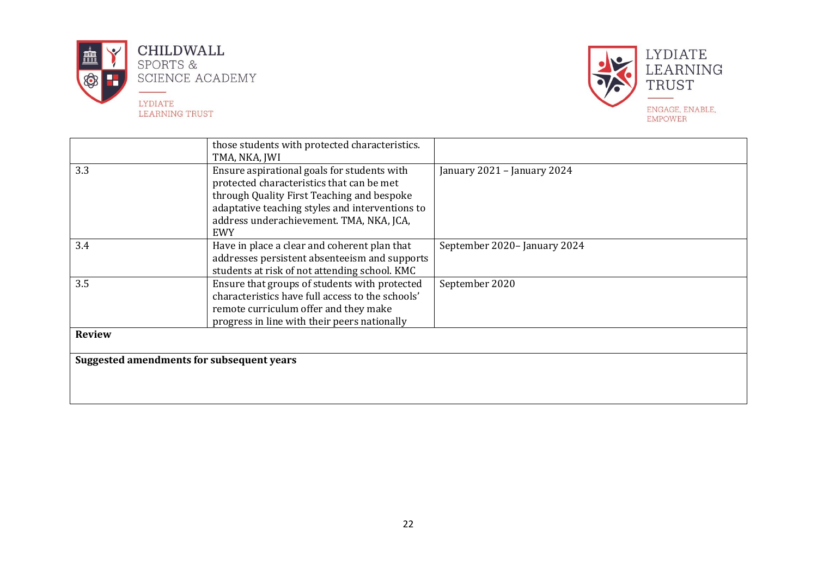



|                                           | those students with protected characteristics.<br>TMA, NKA, JWI                                                                                                                                                                              |                             |
|-------------------------------------------|----------------------------------------------------------------------------------------------------------------------------------------------------------------------------------------------------------------------------------------------|-----------------------------|
| 3.3                                       | Ensure aspirational goals for students with<br>protected characteristics that can be met<br>through Quality First Teaching and bespoke<br>adaptative teaching styles and interventions to<br>address underachievement. TMA, NKA, JCA,<br>EWY | January 2021 - January 2024 |
| 3.4                                       | Have in place a clear and coherent plan that<br>addresses persistent absenteeism and supports<br>students at risk of not attending school. KMC                                                                                               | September 2020-January 2024 |
| 3.5                                       | Ensure that groups of students with protected<br>characteristics have full access to the schools'<br>remote curriculum offer and they make<br>progress in line with their peers nationally                                                   | September 2020              |
| <b>Review</b>                             |                                                                                                                                                                                                                                              |                             |
| Suggested amendments for subsequent years |                                                                                                                                                                                                                                              |                             |
|                                           |                                                                                                                                                                                                                                              |                             |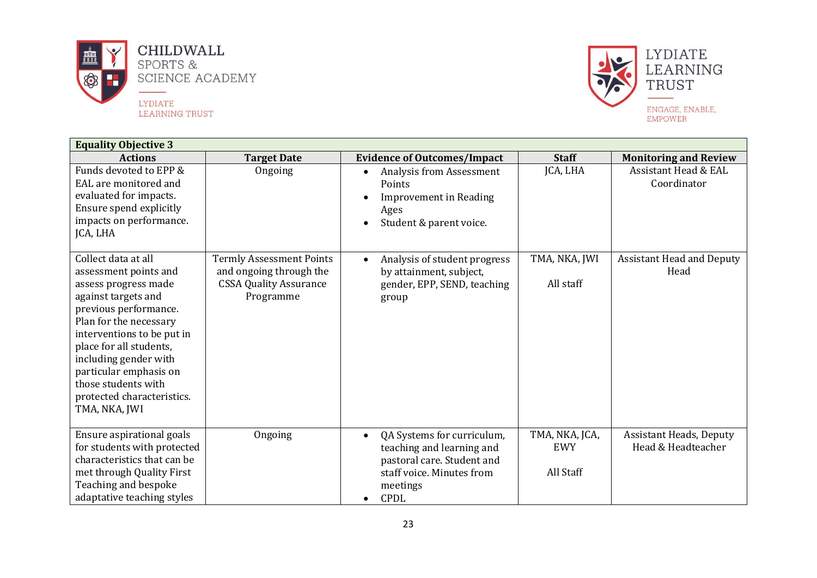



| <b>Equality Objective 3</b>                                                                                                                                                                                                                                                                                                      |                                                                                                          |                                                                                                                                                            |                                           |                                                      |  |
|----------------------------------------------------------------------------------------------------------------------------------------------------------------------------------------------------------------------------------------------------------------------------------------------------------------------------------|----------------------------------------------------------------------------------------------------------|------------------------------------------------------------------------------------------------------------------------------------------------------------|-------------------------------------------|------------------------------------------------------|--|
| <b>Actions</b>                                                                                                                                                                                                                                                                                                                   | <b>Target Date</b>                                                                                       | <b>Evidence of Outcomes/Impact</b>                                                                                                                         | <b>Staff</b>                              | <b>Monitoring and Review</b>                         |  |
| Funds devoted to EPP &<br>EAL are monitored and<br>evaluated for impacts.<br>Ensure spend explicitly<br>impacts on performance.<br>JCA, LHA                                                                                                                                                                                      | Ongoing                                                                                                  | Analysis from Assessment<br>Points<br><b>Improvement in Reading</b><br>Ages<br>Student & parent voice.<br>$\bullet$                                        | JCA, LHA                                  | <b>Assistant Head &amp; EAL</b><br>Coordinator       |  |
| Collect data at all<br>assessment points and<br>assess progress made<br>against targets and<br>previous performance.<br>Plan for the necessary<br>interventions to be put in<br>place for all students,<br>including gender with<br>particular emphasis on<br>those students with<br>protected characteristics.<br>TMA, NKA, JWI | <b>Termly Assessment Points</b><br>and ongoing through the<br><b>CSSA Quality Assurance</b><br>Programme | Analysis of student progress<br>$\bullet$<br>by attainment, subject,<br>gender, EPP, SEND, teaching<br>group                                               | TMA, NKA, JWI<br>All staff                | <b>Assistant Head and Deputy</b><br>Head             |  |
| Ensure aspirational goals<br>for students with protected<br>characteristics that can be<br>met through Quality First<br>Teaching and bespoke<br>adaptative teaching styles                                                                                                                                                       | Ongoing                                                                                                  | QA Systems for curriculum,<br>$\bullet$<br>teaching and learning and<br>pastoral care. Student and<br>staff voice. Minutes from<br>meetings<br><b>CPDL</b> | TMA, NKA, JCA,<br><b>EWY</b><br>All Staff | <b>Assistant Heads, Deputy</b><br>Head & Headteacher |  |